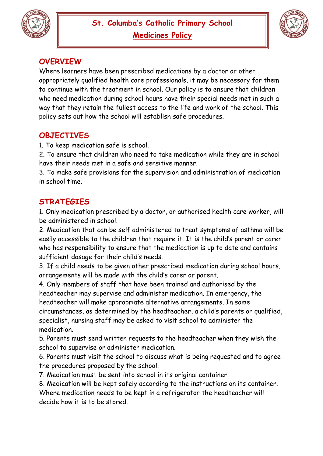



## **OVERVIEW**

Where learners have been prescribed medications by a doctor or other appropriately qualified health care professionals, it may be necessary for them to continue with the treatment in school. Our policy is to ensure that children who need medication during school hours have their special needs met in such a way that they retain the fullest access to the life and work of the school. This policy sets out how the school will establish safe procedures.

## **OBJECTIVES**

1. To keep medication safe is school.

2. To ensure that children who need to take medication while they are in school have their needs met in a safe and sensitive manner.

3. To make safe provisions for the supervision and administration of medication in school time.

## **STRATEGIES**

1. Only medication prescribed by a doctor, or authorised health care worker, will be administered in school.

2. Medication that can be self administered to treat symptoms of asthma will be easily accessible to the children that require it. It is the child's parent or carer who has responsibility to ensure that the medication is up to date and contains sufficient dosage for their child's needs.

3. If a child needs to be given other prescribed medication during school hours, arrangements will be made with the child's carer or parent.

4. Only members of staff that have been trained and authorised by the headteacher may supervise and administer medication. In emergency, the headteacher will make appropriate alternative arrangements. In some

circumstances, as determined by the headteacher, a child's parents or qualified, specialist, nursing staff may be asked to visit school to administer the medication.

5. Parents must send written requests to the headteacher when they wish the school to supervise or administer medication.

6. Parents must visit the school to discuss what is being requested and to agree the procedures proposed by the school.

7. Medication must be sent into school in its original container.

8. Medication will be kept safely according to the instructions on its container. Where medication needs to be kept in a refrigerator the headteacher will decide how it is to be stored.